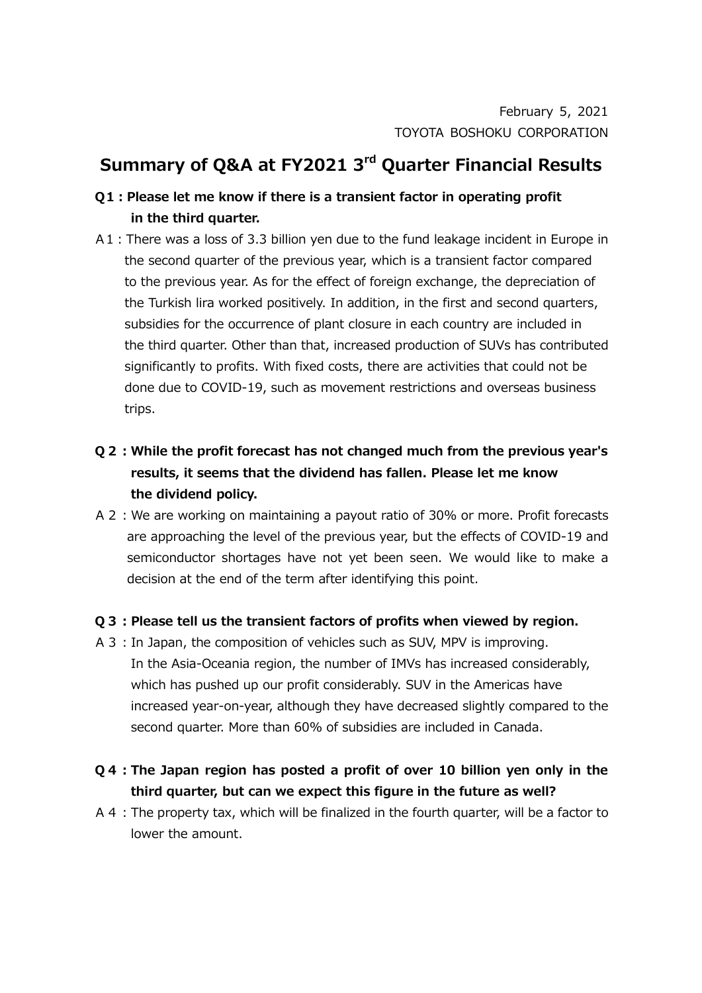## **Summary of Q&A at FY2021 3 rd Quarter Financial Results**

## **Q1:Please let me know if there is a transient factor in operating profit in the third quarter.**

- A1:There was a loss of 3.3 billion yen due to the fund leakage incident in Europe in the second quarter of the previous year, which is a transient factor compared to the previous year. As for the effect of foreign exchange, the depreciation of the Turkish lira worked positively. In addition, in the first and second quarters, subsidies for the occurrence of plant closure in each country are included in the third quarter. Other than that, increased production of SUVs has contributed significantly to profits. With fixed costs, there are activities that could not be done due to COVID-19, such as movement restrictions and overseas business trips.
- **Q2:While the profit forecast has not changed much from the previous year's results, it seems that the dividend has fallen. Please let me know the dividend policy.**
- A2:We are working on maintaining a payout ratio of 30% or more. Profit forecasts are approaching the level of the previous year, but the effects of COVID-19 and semiconductor shortages have not yet been seen. We would like to make a decision at the end of the term after identifying this point.

## **Q3:Please tell us the transient factors of profits when viewed by region.**

- A3:In Japan, the composition of vehicles such as SUV, MPV is improving. In the Asia-Oceania region, the number of IMVs has increased considerably, which has pushed up our profit considerably. SUV in the Americas have increased year-on-year, although they have decreased slightly compared to the second quarter. More than 60% of subsidies are included in Canada.
- **Q4:The Japan region has posted a profit of over 10 billion yen only in the third quarter, but can we expect this figure in the future as well?**
- A4:The property tax, which will be finalized in the fourth quarter, will be a factor to lower the amount.